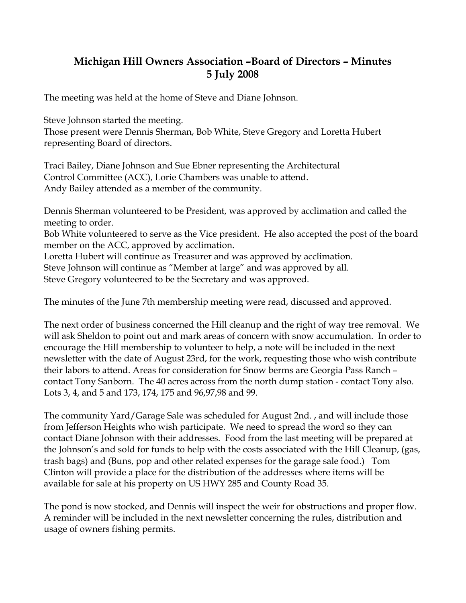## **Michigan Hill Owners Association –Board of Directors – Minutes 5 July 2008**

The meeting was held at the home of Steve and Diane Johnson.

Steve Johnson started the meeting.

Those present were Dennis Sherman, Bob White, Steve Gregory and Loretta Hubert representing Board of directors.

Traci Bailey, Diane Johnson and Sue Ebner representing the Architectural Control Committee (ACC), Lorie Chambers was unable to attend. Andy Bailey attended as a member of the community.

Dennis Sherman volunteered to be President, was approved by acclimation and called the meeting to order.

Bob White volunteered to serve as the Vice president. He also accepted the post of the board member on the ACC, approved by acclimation.

Loretta Hubert will continue as Treasurer and was approved by acclimation.

Steve Johnson will continue as "Member at large" and was approved by all.

Steve Gregory volunteered to be the Secretary and was approved.

The minutes of the June 7th membership meeting were read, discussed and approved.

The next order of business concerned the Hill cleanup and the right of way tree removal. We will ask Sheldon to point out and mark areas of concern with snow accumulation. In order to encourage the Hill membership to volunteer to help, a note will be included in the next newsletter with the date of August 23rd, for the work, requesting those who wish contribute their labors to attend. Areas for consideration for Snow berms are Georgia Pass Ranch – contact Tony Sanborn. The 40 acres across from the north dump station - contact Tony also. Lots 3, 4, and 5 and 173, 174, 175 and 96,97,98 and 99.

The community Yard/Garage Sale was scheduled for August 2nd. , and will include those from Jefferson Heights who wish participate. We need to spread the word so they can contact Diane Johnson with their addresses. Food from the last meeting will be prepared at the Johnson's and sold for funds to help with the costs associated with the Hill Cleanup, (gas, trash bags) and (Buns, pop and other related expenses for the garage sale food.) Tom Clinton will provide a place for the distribution of the addresses where items will be available for sale at his property on US HWY 285 and County Road 35.

The pond is now stocked, and Dennis will inspect the weir for obstructions and proper flow. A reminder will be included in the next newsletter concerning the rules, distribution and usage of owners fishing permits.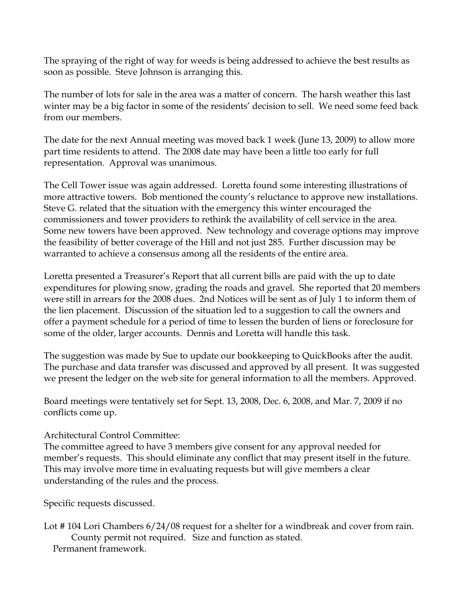The spraying of the right of way for weeds is being addressed to achieve the best results as soon as possible. Steve Johnson is arranging this.

The number of lots for sale in the area was a matter of concern. The harsh weather this last winter may be a big factor in some of the residents' decision to sell. We need some feed back from our members.

The date for the next Annual meeting was moved back 1 week (June 13, 2009) to allow more part time residents to attend. The 2008 date may have been a little too early for full representation. Approval was unanimous.

The Cell Tower issue was again addressed. Loretta found some interesting illustrations of more attractive towers. Bob mentioned the county's reluctance to approve new installations. Steve G. related that the situation with the emergency this winter encouraged the commissioners and tower providers to rethink the availability of cell service in the area. Some new towers have been approved. New technology and coverage options may improve the feasibility of better coverage of the Hill and not just 285. Further discussion may be warranted to achieve a consensus among all the residents of the entire area.

Loretta presented a Treasurer's Report that all current bills are paid with the up to date expenditures for plowing snow, grading the roads and gravel. She reported that 20 members were still in arrears for the 2008 dues. 2nd Notices will be sent as of July 1 to inform them of the lien placement. Discussion of the situation led to a suggestion to call the owners and offer a payment schedule for a period of time to lessen the burden of liens or foreclosure for some of the older, larger accounts. Dennis and Loretta will handle this task.

The suggestion was made by Sue to update our bookkeeping to QuickBooks after the audit. The purchase and data transfer was discussed and approved by all present. It was suggested we present the ledger on the web site for general information to all the members. Approved.

Board meetings were tentatively set for Sept. 13, 2008, Dec. 6, 2008, and Mar. 7, 2009 if no conflicts come up.

Architectural Control Committee:

The committee agreed to have 3 members give consent for any approval needed for member's requests. This should eliminate any conflict that may present itself in the future. This may involve more time in evaluating requests but will give members a clear understanding of the rules and the process.

Specific requests discussed.

Lot # 104 Lori Chambers 6/24/08 request for a shelter for a windbreak and cover from rain. County permit not required. Size and function as stated. Permanent framework.